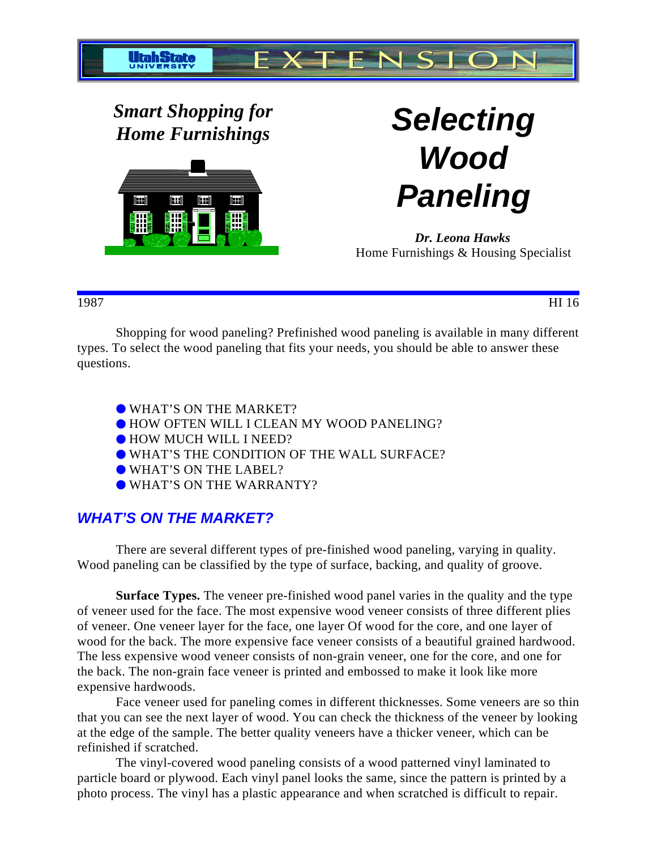

*Smart Shopping for Home Furnishings* **Selecting**



**Wood Paneling**

*Dr. Leona Hawks* Home Furnishings & Housing Specialist

1987 HI 16

Shopping for wood paneling? Prefinished wood paneling is available in many different types. To select the wood paneling that fits your needs, you should be able to answer these questions.

- WHAT'S ON THE MARKET?
- HOW OFTEN WILL I CLEAN MY WOOD PANELING?
- $\bullet$  HOW MUCH WILL I NEED?
- WHAT'S THE CONDITION OF THE WALL SURFACE?
- WHAT'S ON THE LABEL?
- WHAT'S ON THE WARRANTY?

# **WHAT'S ON THE MARKET?**

There are several different types of pre-finished wood paneling, varying in quality. Wood paneling can be classified by the type of surface, backing, and quality of groove.

**Surface Types.** The veneer pre-finished wood panel varies in the quality and the type of veneer used for the face. The most expensive wood veneer consists of three different plies of veneer. One veneer layer for the face, one layer Of wood for the core, and one layer of wood for the back. The more expensive face veneer consists of a beautiful grained hardwood. The less expensive wood veneer consists of non-grain veneer, one for the core, and one for the back. The non-grain face veneer is printed and embossed to make it look like more expensive hardwoods.

Face veneer used for paneling comes in different thicknesses. Some veneers are so thin that you can see the next layer of wood. You can check the thickness of the veneer by looking at the edge of the sample. The better quality veneers have a thicker veneer, which can be refinished if scratched.

The vinyl-covered wood paneling consists of a wood patterned vinyl laminated to particle board or plywood. Each vinyl panel looks the same, since the pattern is printed by a photo process. The vinyl has a plastic appearance and when scratched is difficult to repair.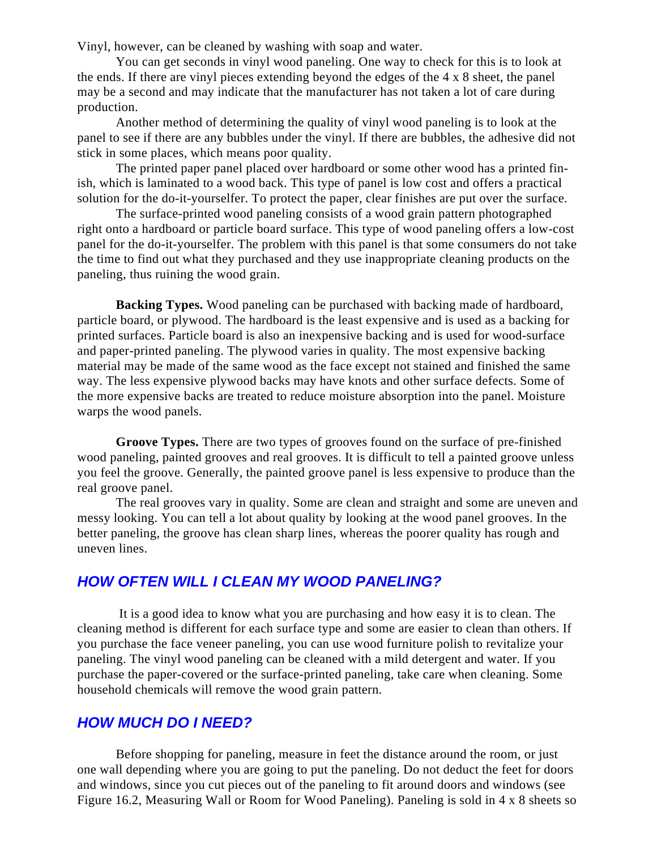Vinyl, however, can be cleaned by washing with soap and water.

You can get seconds in vinyl wood paneling. One way to check for this is to look at the ends. If there are vinyl pieces extending beyond the edges of the 4 x 8 sheet, the panel may be a second and may indicate that the manufacturer has not taken a lot of care during production.

Another method of determining the quality of vinyl wood paneling is to look at the panel to see if there are any bubbles under the vinyl. If there are bubbles, the adhesive did not stick in some places, which means poor quality.

The printed paper panel placed over hardboard or some other wood has a printed finish, which is laminated to a wood back. This type of panel is low cost and offers a practical solution for the do-it-yourselfer. To protect the paper, clear finishes are put over the surface.

The surface-printed wood paneling consists of a wood grain pattern photographed right onto a hardboard or particle board surface. This type of wood paneling offers a low-cost panel for the do-it-yourselfer. The problem with this panel is that some consumers do not take the time to find out what they purchased and they use inappropriate cleaning products on the paneling, thus ruining the wood grain.

**Backing Types.** Wood paneling can be purchased with backing made of hardboard, particle board, or plywood. The hardboard is the least expensive and is used as a backing for printed surfaces. Particle board is also an inexpensive backing and is used for wood-surface and paper-printed paneling. The plywood varies in quality. The most expensive backing material may be made of the same wood as the face except not stained and finished the same way. The less expensive plywood backs may have knots and other surface defects. Some of the more expensive backs are treated to reduce moisture absorption into the panel. Moisture warps the wood panels.

**Groove Types.** There are two types of grooves found on the surface of pre-finished wood paneling, painted grooves and real grooves. It is difficult to tell a painted groove unless you feel the groove. Generally, the painted groove panel is less expensive to produce than the real groove panel.

The real grooves vary in quality. Some are clean and straight and some are uneven and messy looking. You can tell a lot about quality by looking at the wood panel grooves. In the better paneling, the groove has clean sharp lines, whereas the poorer quality has rough and uneven lines.

### **HOW OFTEN WILL I CLEAN MY WOOD PANELING?**

 It is a good idea to know what you are purchasing and how easy it is to clean. The cleaning method is different for each surface type and some are easier to clean than others. If you purchase the face veneer paneling, you can use wood furniture polish to revitalize your paneling. The vinyl wood paneling can be cleaned with a mild detergent and water. If you purchase the paper-covered or the surface-printed paneling, take care when cleaning. Some household chemicals will remove the wood grain pattern.

### **HOW MUCH DO I NEED?**

Before shopping for paneling, measure in feet the distance around the room, or just one wall depending where you are going to put the paneling. Do not deduct the feet for doors and windows, since you cut pieces out of the paneling to fit around doors and windows (see Figure 16.2, Measuring Wall or Room for Wood Paneling). Paneling is sold in 4 x 8 sheets so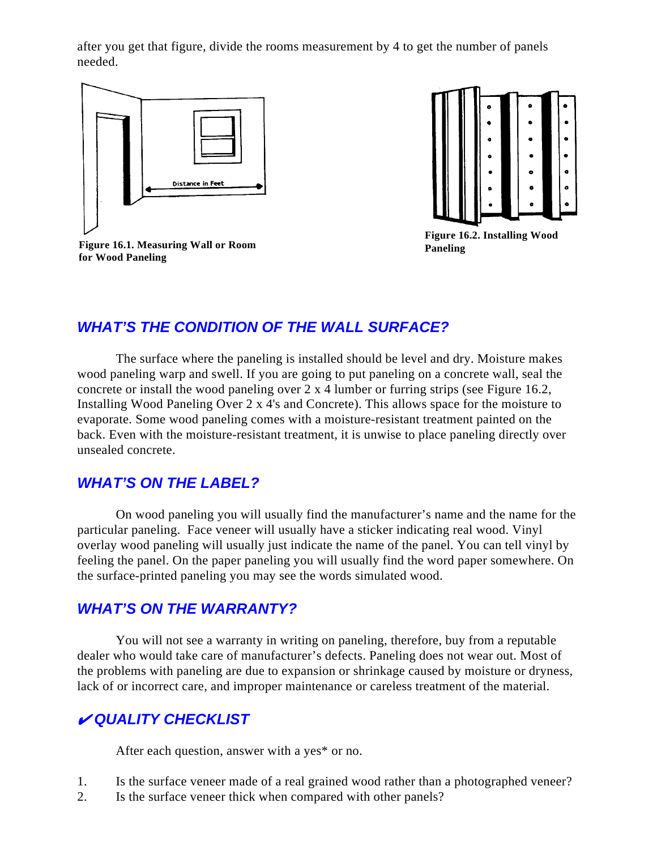after you get that figure, divide the rooms measurement by 4 to get the number of panels needed.



**Figure 16.2. Installing Wood Paneling**

**Figure 16.1. Measuring Wall or Room for Wood Paneling**

# **WHAT'S THE CONDITION OF THE WALL SURFACE?**

The surface where the paneling is installed should be level and dry. Moisture makes wood paneling warp and swell. If you are going to put paneling on a concrete wall, seal the concrete or install the wood paneling over 2 x 4 lumber or furring strips (see Figure 16.2, Installing Wood Paneling Over 2 x 4's and Concrete). This allows space for the moisture to evaporate. Some wood paneling comes with a moisture-resistant treatment painted on the back. Even with the moisture-resistant treatment, it is unwise to place paneling directly over unsealed concrete.

# **WHAT'S ON THE LABEL?**

On wood paneling you will usually find the manufacturer's name and the name for the particular paneling. Face veneer will usually have a sticker indicating real wood. Vinyl overlay wood paneling will usually just indicate the name of the panel. You can tell vinyl by feeling the panel. On the paper paneling you will usually find the word paper somewhere. On the surface-printed paneling you may see the words simulated wood.

# **WHAT'S ON THE WARRANTY?**

You will not see a warranty in writing on paneling, therefore, buy from a reputable dealer who would take care of manufacturer's defects. Paneling does not wear out. Most of the problems with paneling are due to expansion or shrinkage caused by moisture or dryness, lack of or incorrect care, and improper maintenance or careless treatment of the material.

# **QUALITY CHECKLIST**

After each question, answer with a yes\* or no.

- 1. Is the surface veneer made of a real grained wood rather than a photographed veneer?
- 2. Is the surface veneer thick when compared with other panels?